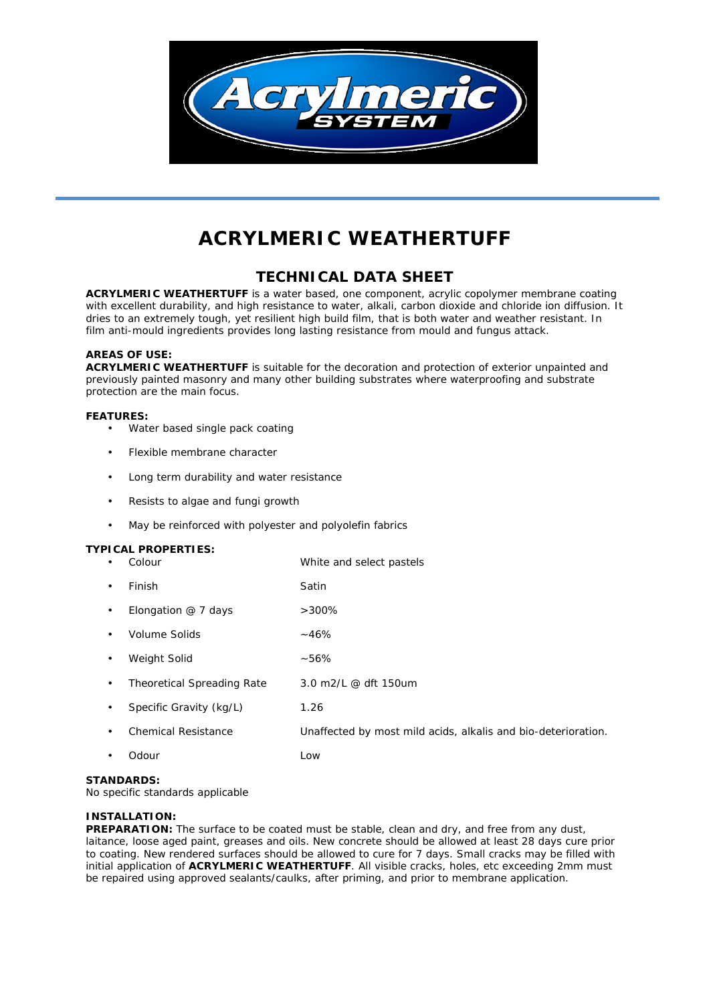

# **ACRYLMERIC WEATHERTUFF**

# **TECHNICAL DATA SHEET**

**ACRYLMERIC WEATHERTUFF** is a water based, one component, acrylic copolymer membrane coating with excellent durability, and high resistance to water, alkali, carbon dioxide and chloride ion diffusion. It dries to an extremely tough, yet resilient high build film, that is both water and weather resistant. In film anti-mould ingredients provides long lasting resistance from mould and fungus attack.

### **AREAS OF USE:**

**ACRYLMERIC WEATHERTUFF** is suitable for the decoration and protection of exterior unpainted and previously painted masonry and many other building substrates where waterproofing and substrate protection are the main focus.

#### **FEATURES:**

- Water based single pack coating
- Flexible membrane character
- Long term durability and water resistance
- Resists to algae and fungi growth
- May be reinforced with polyester and polyolefin fabrics

| ٠ | Colour                     | White and select pastels                                      |
|---|----------------------------|---------------------------------------------------------------|
| ٠ | Finish                     | Satin                                                         |
| ٠ | Elongation $@$ 7 days      | $>300\%$                                                      |
| ٠ | Volume Solids              | ~146%                                                         |
| ٠ | Weight Solid               | ~56%                                                          |
| ٠ | Theoretical Spreading Rate | 3.0 m2/L @ dft 150um                                          |
|   | Specific Gravity (kg/L)    | 1.26                                                          |
| ٠ | <b>Chemical Resistance</b> | Unaffected by most mild acids, alkalis and bio-deterioration. |
|   | Odour                      | Low                                                           |

# **STANDARDS:**

No specific standards applicable

# **INSTALLATION:**

**PREPARATION:** The surface to be coated must be stable, clean and dry, and free from any dust, laitance, loose aged paint, greases and oils. New concrete should be allowed at least 28 days cure prior to coating. New rendered surfaces should be allowed to cure for 7 days. Small cracks may be filled with initial application of **ACRYLMERIC WEATHERTUFF**. All visible cracks, holes, etc exceeding 2mm must be repaired using approved sealants/caulks, after priming, and prior to membrane application.